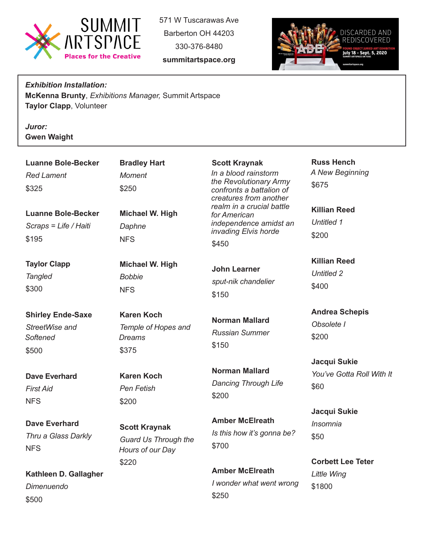

571 W Tuscarawas Ave Barberton OH 44203 330-376-8480





*Exhibition Installation:* **McKenna Brunty**, *Exhibitions Manager,* Summit Artspace **Taylor Clapp**, Volunteer

*Juror:*  **Gwen Waight**

| <b>Luanne Bole-Becker</b>                                       | <b>Bradley Hart</b>                                              | <b>Scott Kraynak</b>                                                                                                                                                                                         | <b>Russ Hench</b>                                 |
|-----------------------------------------------------------------|------------------------------------------------------------------|--------------------------------------------------------------------------------------------------------------------------------------------------------------------------------------------------------------|---------------------------------------------------|
| <b>Red Lament</b>                                               | <b>Moment</b>                                                    | In a blood rainstorm<br>the Revolutionary Army<br>confronts a battalion of<br>creatures from another<br>realm in a crucial battle<br>for American<br>independence amidst an<br>invading Elvis horde<br>\$450 | A New Beginning                                   |
| \$325                                                           | \$250                                                            |                                                                                                                                                                                                              | \$675                                             |
| <b>Luanne Bole-Becker</b><br>Scraps = Life / Haiti<br>\$195     | Michael W. High<br>Daphne<br><b>NFS</b>                          |                                                                                                                                                                                                              | <b>Killian Reed</b><br><b>Untitled 1</b><br>\$200 |
| <b>Taylor Clapp</b><br><b>Tangled</b><br>\$300                  | Michael W. High<br><b>Bobbie</b><br><b>NFS</b>                   | <b>John Learner</b><br>sput-nik chandelier<br>\$150                                                                                                                                                          | <b>Killian Reed</b><br><b>Untitled 2</b><br>\$400 |
| <b>Shirley Ende-Saxe</b><br>StreetWise and<br>Softened<br>\$500 | <b>Karen Koch</b><br>Temple of Hopes and<br>Dreams<br>\$375      | <b>Norman Mallard</b><br><b>Russian Summer</b><br>\$150                                                                                                                                                      | <b>Andrea Schepis</b><br>Obsolete I<br>\$200      |
| <b>Dave Everhard</b><br><b>First Aid</b><br><b>NFS</b>          | <b>Karen Koch</b><br><b>Pen Fetish</b><br>\$200                  | <b>Norman Mallard</b><br><b>Dancing Through Life</b><br>\$200                                                                                                                                                | Jacqui Sukie<br>You've Gotta Roll With It<br>\$60 |
| <b>Dave Everhard</b><br>Thru a Glass Darkly<br><b>NFS</b>       | <b>Scott Kraynak</b><br>Guard Us Through the<br>Hours of our Day | <b>Amber McElreath</b><br>Is this how it's gonna be?<br>\$700                                                                                                                                                | Jacqui Sukie<br><b>Insomnia</b><br>\$50           |

**Kathleen D. Gallagher** *Dimenuendo* \$500

*Hours of our Day* \$700

\$220

**Amber McElreath** *I wonder what went wrong* \$250

**Corbett Lee Teter**

*Little Wing* \$1800